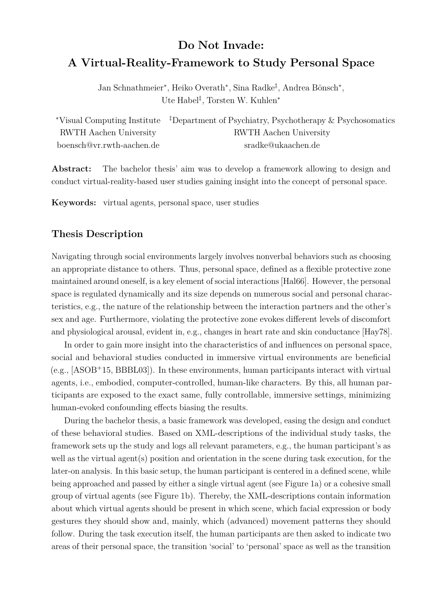## **Do Not Invade: A Virtual-Reality-Framework to Study Personal Space**

Jan Schnathmeier<sup>∗</sup> , Heiko Overath<sup>∗</sup> , Sina Radke‡ , Andrea Bönsch<sup>∗</sup> , Ute Habel‡ , Torsten W. Kuhlen<sup>∗</sup>

|                           | *Visual Computing Institute <sup>#</sup> Department of Psychiatry, Psychotherapy & Psychosomatics |
|---------------------------|---------------------------------------------------------------------------------------------------|
| RWTH Aachen University    | RWTH Aachen University                                                                            |
| boensch@vr.rwth-aachen.de | sradke@ukaachen.de                                                                                |

**Abstract:** The bachelor thesis' aim was to develop a framework allowing to design and conduct virtual-reality-based user studies gaining insight into the concept of personal space.

**Keywords:** virtual agents, personal space, user studies

## **Thesis Description**

Navigating through social environments largely involves nonverbal behaviors such as choosing an appropriate distance to others. Thus, personal space, defined as a flexible protective zone maintained around oneself, is a key element of social interactions [\[Hal66\]](#page-1-0). However, the personal space is regulated dynamically and its size depends on numerous social and personal characteristics, e.g., the nature of the relationship between the interaction partners and the other's sex and age. Furthermore, violating the protective zone evokes different levels of discomfort and physiological arousal, evident in, e.g., changes in heart rate and skin conductance [\[Hay78\]](#page-1-1).

In order to gain more insight into the characteristics of and influences on personal space, social and behavioral studies conducted in immersive virtual environments are beneficial  $(e.g., [ASOB<sup>+</sup>15, BBBL03])$  $(e.g., [ASOB<sup>+</sup>15, BBBL03])$  $(e.g., [ASOB<sup>+</sup>15, BBBL03])$  $(e.g., [ASOB<sup>+</sup>15, BBBL03])$  $(e.g., [ASOB<sup>+</sup>15, BBBL03])$ . In these environments, human participants interact with virtual agents, i.e., embodied, computer-controlled, human-like characters. By this, all human participants are exposed to the exact same, fully controllable, immersive settings, minimizing human-evoked confounding effects biasing the results.

During the bachelor thesis, a basic framework was developed, easing the design and conduct of these behavioral studies. Based on XML-descriptions of the individual study tasks, the framework sets up the study and logs all relevant parameters, e.g., the human participant's as well as the virtual agent(s) position and orientation in the scene during task execution, for the later-on analysis. In this basic setup, the human participant is centered in a defined scene, while being approached and passed by either a single virtual agent (see Figure [1a](#page-1-4)) or a cohesive small group of virtual agents (see Figure [1b](#page-1-4)). Thereby, the XML-descriptions contain information about which virtual agents should be present in which scene, which facial expression or body gestures they should show and, mainly, which (advanced) movement patterns they should follow. During the task execution itself, the human participants are then asked to indicate two areas of their personal space, the transition 'social' to 'personal' space as well as the transition